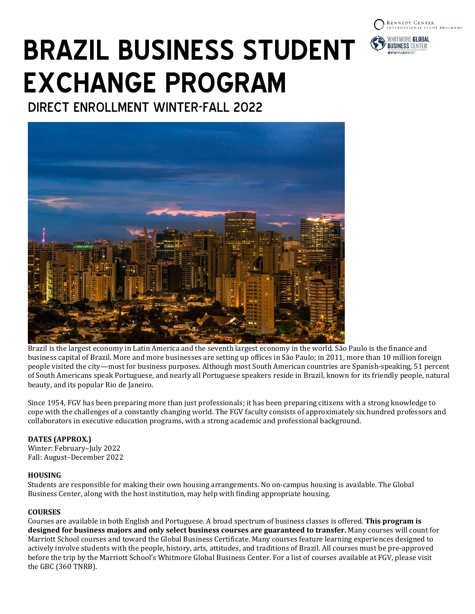



DIRECT ENROLLMENT WINTER-FALL 2022



Brazil is the largest economy in Latin America and the seventh largest economy in the world. São Paulo is the finance and business capital of Brazil. More and more businesses are setting up offices in São Paulo; in 2011, more than 10 million foreign people visited the city—most for business purposes. Although most South American countries are Spanish-speaking, 51 percent of South Americans speak Portuguese, and nearly all Portuguese speakers reside in Brazil, known for its friendly people, natural beauty, and its popular Rio de Janeiro.

Since 1954, FGV has been preparing more than just professionals; it has been preparing citizens with a strong knowledge to cope with the challenges of a constantly changing world. The FGV faculty consists of approximately six hundred professors and collaborators in executive education programs, with a strong academic and professional background.

# **DATES (APPROX.)**

Winter: February–July 2022 Fall: August–December 2022

### **HOUSING**

Students are responsible for making their own housing arrangements. No on-campus housing is available. The Global Business Center, along with the host institution, may help with finding appropriate housing.

### **COURSES**

Courses are available in both English and Portuguese. A broad spectrum of business classes is offered. **This program is designed for business majors and only select business courses are guaranteed to transfer.** Many courses will count for Marriott School courses and toward the Global Business Certificate. Many courses feature learning experiences designed to actively involve students with the people, history, arts, attitudes, and traditions of Brazil. All courses must be pre-approved before the trip by the Marriott School's Whitmore Global Business Center. For a list of courses available at FGV, please visit the GBC (360 TNRB).